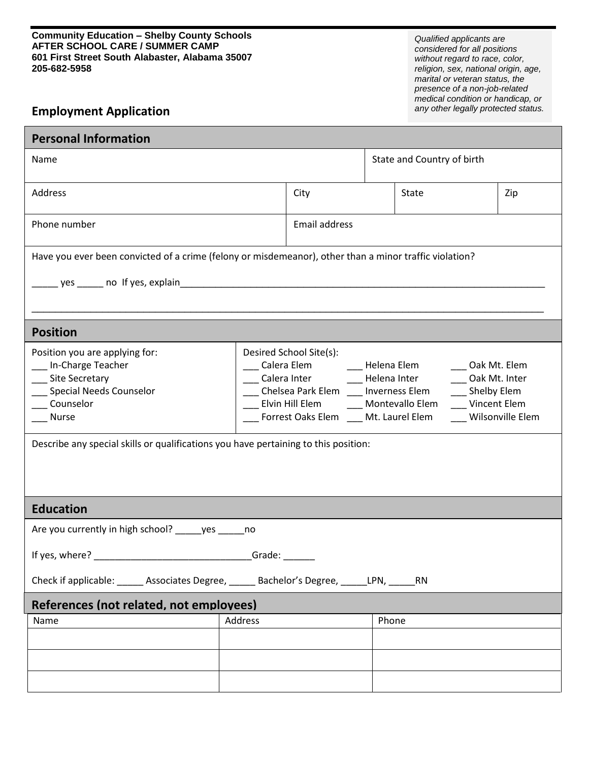## $\overline{\phantom{a}}$ **Community Education – Shelby County Schools AFTER SCHOOL CARE / SUMMER CAMP 601 First Street South Alabaster, Alabama 35007 205-682-5958**

*Qualified applicants are considered for all positions without regard to race, color, religion, sex, national origin, age, marital or veteran status, the presence of a non-job-related medical condition or handicap, or any other legally protected status.*

## **Employment Application**

| <b>Personal Information</b>                                                                                                 |         |                                                                                                                                                                                                                                                                                                                      |                            |              |  |     |  |  |
|-----------------------------------------------------------------------------------------------------------------------------|---------|----------------------------------------------------------------------------------------------------------------------------------------------------------------------------------------------------------------------------------------------------------------------------------------------------------------------|----------------------------|--------------|--|-----|--|--|
| Name                                                                                                                        |         |                                                                                                                                                                                                                                                                                                                      | State and Country of birth |              |  |     |  |  |
| Address                                                                                                                     |         | City                                                                                                                                                                                                                                                                                                                 |                            | <b>State</b> |  | Zip |  |  |
| Phone number                                                                                                                |         | Email address                                                                                                                                                                                                                                                                                                        |                            |              |  |     |  |  |
| Have you ever been convicted of a crime (felony or misdemeanor), other than a minor traffic violation?                      |         |                                                                                                                                                                                                                                                                                                                      |                            |              |  |     |  |  |
|                                                                                                                             |         |                                                                                                                                                                                                                                                                                                                      |                            |              |  |     |  |  |
| <b>Position</b>                                                                                                             |         |                                                                                                                                                                                                                                                                                                                      |                            |              |  |     |  |  |
| Position you are applying for:<br>In-Charge Teacher<br>____ Site Secretary<br>Special Needs Counselor<br>Counselor<br>Nurse |         | Desired School Site(s):<br>Calera Elem ________ Helena Elem ________ Oak Mt. Elem<br>Calera Inter Felena Inter<br>Oak Mt. Inter<br>Chelsea Park Elem ___ Inverness Elem<br>__ Shelby Elem<br>Elvin Hill Elem ______ Montevallo Elem _____ Vincent Elem<br>Forrest Oaks Elem ____ Mt. Laurel Elem<br>Wilsonville Elem |                            |              |  |     |  |  |
| Describe any special skills or qualifications you have pertaining to this position:                                         |         |                                                                                                                                                                                                                                                                                                                      |                            |              |  |     |  |  |
| <b>Education</b>                                                                                                            |         |                                                                                                                                                                                                                                                                                                                      |                            |              |  |     |  |  |
| Are you currently in high school? ______ yes ______ no                                                                      |         |                                                                                                                                                                                                                                                                                                                      |                            |              |  |     |  |  |
| If yes, where? Grade:                                                                                                       |         |                                                                                                                                                                                                                                                                                                                      |                            |              |  |     |  |  |
| Check if applicable: ______ Associates Degree, _____ Bachelor's Degree, _____LPN, _____RN                                   |         |                                                                                                                                                                                                                                                                                                                      |                            |              |  |     |  |  |
| References (not related, not employees)                                                                                     |         |                                                                                                                                                                                                                                                                                                                      |                            |              |  |     |  |  |
| Name                                                                                                                        | Address |                                                                                                                                                                                                                                                                                                                      | Phone                      |              |  |     |  |  |
|                                                                                                                             |         |                                                                                                                                                                                                                                                                                                                      |                            |              |  |     |  |  |
|                                                                                                                             |         |                                                                                                                                                                                                                                                                                                                      |                            |              |  |     |  |  |
|                                                                                                                             |         |                                                                                                                                                                                                                                                                                                                      |                            |              |  |     |  |  |